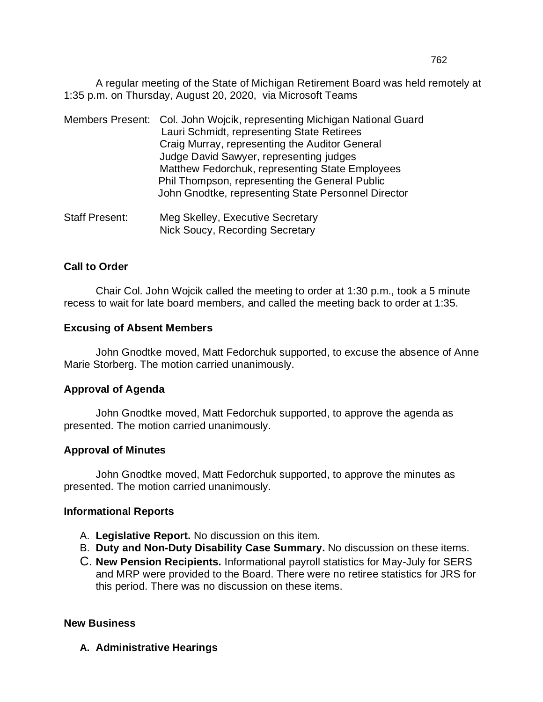A regular meeting of the State of Michigan Retirement Board was held remotely at 1:35 p.m. on Thursday, August 20, 2020, via Microsoft Teams

|                       | Members Present: Col. John Wojcik, representing Michigan National Guard<br>Lauri Schmidt, representing State Retirees<br>Craig Murray, representing the Auditor General<br>Judge David Sawyer, representing judges<br>Matthew Fedorchuk, representing State Employees<br>Phil Thompson, representing the General Public<br>John Gnodtke, representing State Personnel Director |
|-----------------------|--------------------------------------------------------------------------------------------------------------------------------------------------------------------------------------------------------------------------------------------------------------------------------------------------------------------------------------------------------------------------------|
| <b>Staff Present:</b> | Meg Skelley, Executive Secretary                                                                                                                                                                                                                                                                                                                                               |

Nick Soucy, Recording Secretary

### **Call to Order**

Chair Col. John Wojcik called the meeting to order at 1:30 p.m., took a 5 minute recess to wait for late board members, and called the meeting back to order at 1:35.

#### **Excusing of Absent Members**

John Gnodtke moved, Matt Fedorchuk supported, to excuse the absence of Anne Marie Storberg. The motion carried unanimously.

#### **Approval of Agenda**

John Gnodtke moved, Matt Fedorchuk supported, to approve the agenda as presented. The motion carried unanimously.

#### **Approval of Minutes**

John Gnodtke moved, Matt Fedorchuk supported, to approve the minutes as presented. The motion carried unanimously.

#### **Informational Reports**

- A. **Legislative Report.** No discussion on this item.
- B. **Duty and Non-Duty Disability Case Summary.** No discussion on these items.
- C. **New Pension Recipients.** Informational payroll statistics for May-July for SERS and MRP were provided to the Board. There were no retiree statistics for JRS for this period. There was no discussion on these items.

#### **New Business**

**A. Administrative Hearings**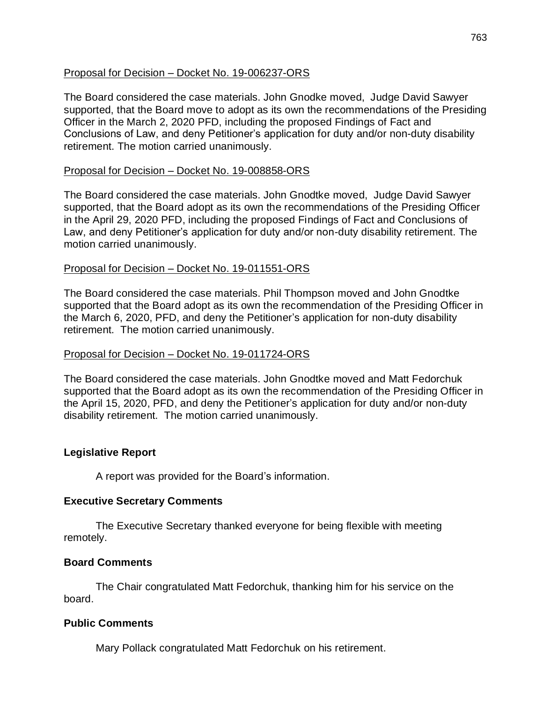### Proposal for Decision – Docket No. 19-006237-ORS

The Board considered the case materials. John Gnodke moved, Judge David Sawyer supported, that the Board move to adopt as its own the recommendations of the Presiding Officer in the March 2, 2020 PFD, including the proposed Findings of Fact and Conclusions of Law, and deny Petitioner's application for duty and/or non-duty disability retirement. The motion carried unanimously.

### Proposal for Decision – Docket No. 19-008858-ORS

The Board considered the case materials. John Gnodtke moved, Judge David Sawyer supported, that the Board adopt as its own the recommendations of the Presiding Officer in the April 29, 2020 PFD, including the proposed Findings of Fact and Conclusions of Law, and deny Petitioner's application for duty and/or non-duty disability retirement. The motion carried unanimously.

### Proposal for Decision – Docket No. 19-011551-ORS

The Board considered the case materials. Phil Thompson moved and John Gnodtke supported that the Board adopt as its own the recommendation of the Presiding Officer in the March 6, 2020, PFD, and deny the Petitioner's application for non-duty disability retirement. The motion carried unanimously.

### Proposal for Decision – Docket No. 19-011724-ORS

The Board considered the case materials. John Gnodtke moved and Matt Fedorchuk supported that the Board adopt as its own the recommendation of the Presiding Officer in the April 15, 2020, PFD, and deny the Petitioner's application for duty and/or non-duty disability retirement. The motion carried unanimously.

## **Legislative Report**

A report was provided for the Board's information.

### **Executive Secretary Comments**

The Executive Secretary thanked everyone for being flexible with meeting remotely.

### **Board Comments**

The Chair congratulated Matt Fedorchuk, thanking him for his service on the board.

### **Public Comments**

Mary Pollack congratulated Matt Fedorchuk on his retirement.